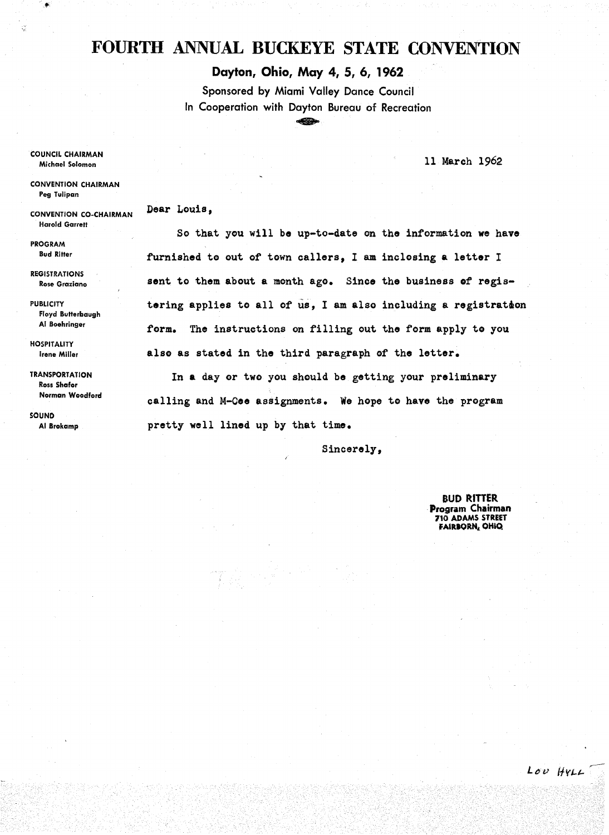## **FOURTH** ANNUAL **BUCKEYE STATE** CONVENTION

**Dayton, Ohio, May 4, 5, 6, 1962** 

Sponsored by Miami Valley Dance Council In Cooperation with Dayton Bureau of Recreation ~

11 March 1962

COUNCIL CHAIRMAN Michael Solomon

CONVENTION CHAIRMAN Peg Tulipan

CONVENTION CO-CHAIRMAN Harold Garrett

Dear Louis,

PROGRAM Bud Ritter

REGISTRATIONS Rose Graziano

PUBLICITY Floyd Butterbaugh AI Boehringer

**HOSPITALITY** Irene Miller

**TRANSPORTATION** Ross Shafor Norman Woodford

SOUND AI Brokamp

So that you will be up-to-date on the information we have furnishe4 to out of town callers, I am inclosing **a** letter I sent to them about a month ago. Since the business of registering applies to all of us, I am also including a registration form. The instructions on filling out the form apply to you also as stated in the third paragraph of the letter.

In **a** day or two you should be getting your preliminary calling and M-Cee assignments. We hope to have the program pretty well lined up by that time.

Sincerely,

BUD RITTER Program Chairman 710 ADAMS STREET FAIRBORN, OHIO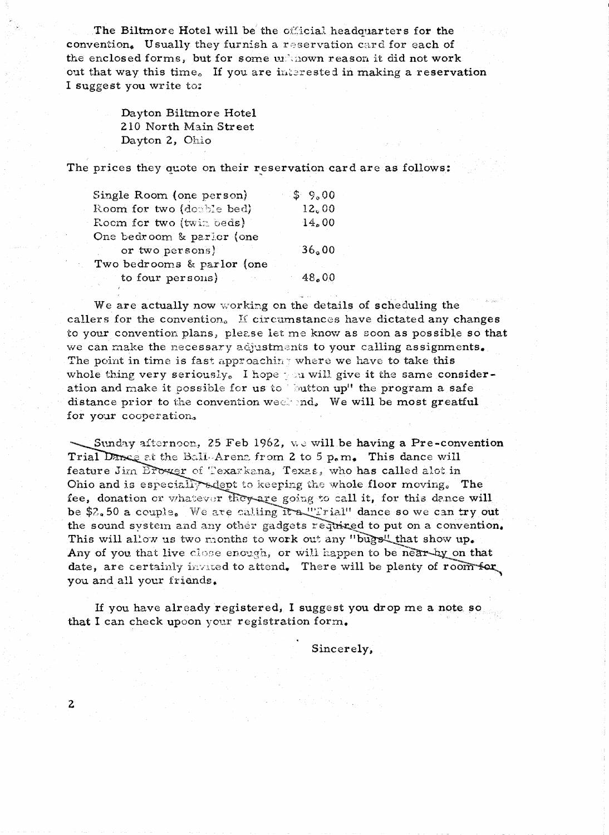The Biltmore Hotel will be the official headquarters for the convention. Usually they furnish a reservation card for each of the enclosed forms, but for some  $ur$  nown reason it did not work out that way this time. If you are interested in making a reservation I suggest you write to:

> Dayton Biltmore Hotel 210 North Main Street Dayton 2, Ohio

The prices they quote on their reservation card are as follows:

| Single Room (one person)   | \$9,00 |
|----------------------------|--------|
| Room for two (double bed)  | 12,00  |
| Room for two (twin beds)   | 14,00  |
| One bedroom & parior (one  |        |
| or two persons)            | 36.00  |
| Two bedrooms & parlor (one |        |
| to four persons)           | 48.00  |

We are actually now working on the details of scheduling the callers for the convention.  $\tilde{K}$  circumstances have dictated any changes to your convention plans, please let me know as soon as possible so that we can make the necessary adjustments to your calling assignments. The point in time is fast approaching where we have to take this whole thing very seriously. I hope you will give it the same consideration and make it possible for us to  $\omega$  button up" the program a safe distance prior to the convention weekend. We will be most greatful for your cooperation,

Sunday afternoon, 25 Feb 1962, we will be having a Pre-convention Trial Dance at the Ball-Arens from 2 to 5  $p_{\rm s}$  m. This dance will feature Jim Brower of Texarkana, Texas, who has called alot in Ohio and is especially adept to keeping the whole floor moving. The fee, donation or whatever they are going to call it, for this dance will be \$2.50 a couple. We are calling it a "'Irial" dance so we can try out the sound system and any other gadgets required to put on a convention. This will allow us two months to work out any "bugs" that show up. Any of you that live close enough, or will happen to be near-by on that Any of you that live close enough, or will happen to be near-by on that date, are certainly invited to attend. There will be plenty of room for you and all your friends.

If you have already registered, I suggest you drop me a note so that I can check upoon your registration form.

2

Sincerely,